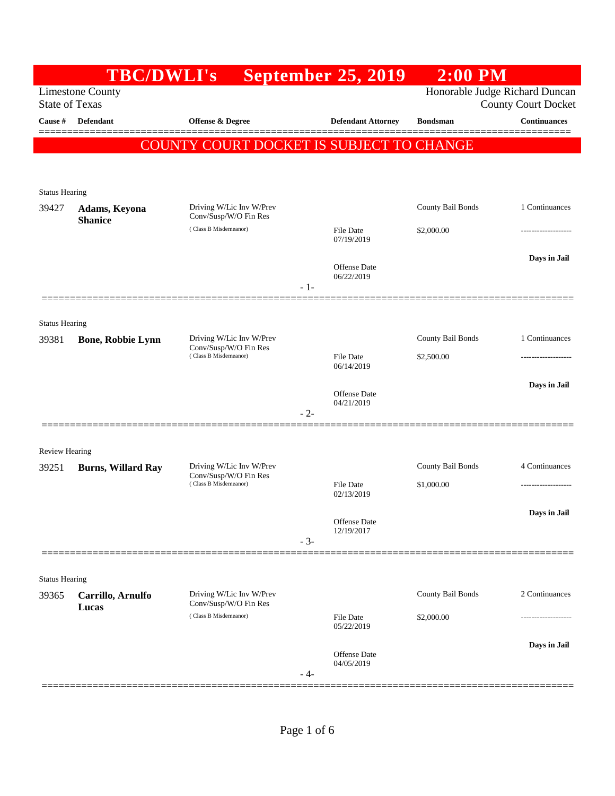|                                                  | <b>TBC/DWLI's</b>         |                                                   |                                                              | <b>September 25, 2019</b>         | $2:00$ PM         |                     |
|--------------------------------------------------|---------------------------|---------------------------------------------------|--------------------------------------------------------------|-----------------------------------|-------------------|---------------------|
| <b>Limestone County</b><br><b>State of Texas</b> |                           |                                                   | Honorable Judge Richard Duncan<br><b>County Court Docket</b> |                                   |                   |                     |
| Cause #                                          | <b>Defendant</b>          | <b>Offense &amp; Degree</b>                       |                                                              | <b>Defendant Attorney</b>         | <b>Bondsman</b>   | <b>Continuances</b> |
|                                                  |                           | COUNTY COURT DOCKET IS SUBJECT TO CHANGE          |                                                              |                                   |                   |                     |
|                                                  |                           |                                                   |                                                              |                                   |                   |                     |
| <b>Status Hearing</b>                            |                           |                                                   |                                                              |                                   |                   |                     |
| 39427                                            | Adams, Keyona             | Driving W/Lic Inv W/Prev<br>Conv/Susp/W/O Fin Res |                                                              |                                   | County Bail Bonds | 1 Continuances      |
|                                                  | <b>Shanice</b>            | (Class B Misdemeanor)                             |                                                              | File Date                         | \$2,000.00        | -----------------   |
|                                                  |                           |                                                   |                                                              | 07/19/2019                        |                   | Days in Jail        |
|                                                  |                           |                                                   |                                                              | <b>Offense Date</b><br>06/22/2019 |                   |                     |
|                                                  |                           |                                                   | $-1-$                                                        |                                   |                   |                     |
| <b>Status Hearing</b>                            |                           |                                                   |                                                              |                                   |                   |                     |
| 39381                                            | <b>Bone, Robbie Lynn</b>  | Driving W/Lic Inv W/Prev                          |                                                              |                                   | County Bail Bonds | 1 Continuances      |
|                                                  |                           | Conv/Susp/W/O Fin Res<br>(Class B Misdemeanor)    |                                                              | <b>File Date</b><br>06/14/2019    | \$2,500.00        | ----------------    |
|                                                  |                           |                                                   |                                                              |                                   |                   | Days in Jail        |
|                                                  |                           |                                                   |                                                              | Offense Date<br>04/21/2019        |                   |                     |
|                                                  |                           |                                                   | $-2-$                                                        |                                   |                   |                     |
| <b>Review Hearing</b>                            |                           |                                                   |                                                              |                                   |                   |                     |
| 39251                                            | <b>Burns, Willard Ray</b> | Driving W/Lic Inv W/Prev                          |                                                              |                                   | County Bail Bonds | 4 Continuances      |
|                                                  |                           | Conv/Susp/W/O Fin Res<br>(Class B Misdemeanor)    |                                                              | <b>File Date</b><br>02/13/2019    | \$1,000.00        |                     |
|                                                  |                           |                                                   |                                                              |                                   |                   | Days in Jail        |
|                                                  |                           |                                                   |                                                              | Offense Date<br>12/19/2017        |                   |                     |
|                                                  |                           |                                                   | $-3-$                                                        |                                   |                   |                     |
| <b>Status Hearing</b>                            |                           |                                                   |                                                              |                                   |                   |                     |
| 39365                                            | Carrillo, Arnulfo         | Driving W/Lic Inv W/Prev<br>Conv/Susp/W/O Fin Res |                                                              |                                   | County Bail Bonds | 2 Continuances      |
|                                                  | Lucas                     | (Class B Misdemeanor)                             |                                                              | File Date                         | \$2,000.00        |                     |
|                                                  |                           |                                                   |                                                              | 05/22/2019                        |                   | Days in Jail        |
|                                                  |                           |                                                   |                                                              | Offense Date<br>04/05/2019        |                   |                     |
|                                                  |                           |                                                   | - 4-                                                         |                                   |                   |                     |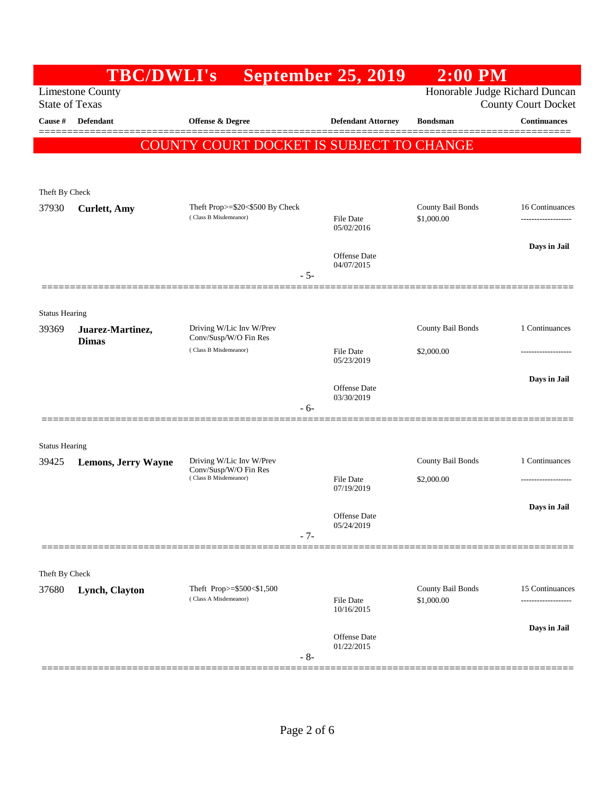|                       | <b>TBC/DWLI's</b>                |                                                                            | <b>September 25, 2019</b>      | $2:00$ PM                       |                               |
|-----------------------|----------------------------------|----------------------------------------------------------------------------|--------------------------------|---------------------------------|-------------------------------|
| <b>State of Texas</b> | <b>Limestone County</b>          |                                                                            |                                | Honorable Judge Richard Duncan  | <b>County Court Docket</b>    |
| Cause #               | Defendant                        | Offense & Degree                                                           | <b>Defendant Attorney</b>      | <b>Bondsman</b>                 | <b>Continuances</b><br>====== |
|                       |                                  | COUNTY COURT DOCKET IS SUBJECT TO CHANGE                                   |                                |                                 |                               |
|                       |                                  |                                                                            |                                |                                 |                               |
| Theft By Check        |                                  |                                                                            |                                |                                 |                               |
| 37930                 | <b>Curlett</b> , Amy             | Theft Prop>=\$20<\$500 By Check<br>(Class B Misdemeanor)                   |                                | County Bail Bonds               | 16 Continuances               |
|                       |                                  |                                                                            | <b>File Date</b><br>05/02/2016 | \$1,000.00                      | ------------------            |
|                       |                                  |                                                                            | <b>Offense</b> Date            |                                 | Days in Jail                  |
|                       |                                  | - 5-                                                                       | 04/07/2015                     |                                 |                               |
|                       |                                  |                                                                            |                                |                                 |                               |
| <b>Status Hearing</b> |                                  |                                                                            |                                |                                 |                               |
| 39369                 | Juarez-Martinez,<br><b>Dimas</b> | Driving W/Lic Inv W/Prev<br>Conv/Susp/W/O Fin Res                          |                                | County Bail Bonds               | 1 Continuances                |
|                       |                                  | (Class B Misdemeanor)                                                      | <b>File Date</b><br>05/23/2019 | \$2,000.00                      |                               |
|                       |                                  |                                                                            | Offense Date                   |                                 | Days in Jail                  |
|                       |                                  | - 6-                                                                       | 03/30/2019                     |                                 |                               |
|                       |                                  |                                                                            |                                |                                 |                               |
| <b>Status Hearing</b> |                                  |                                                                            |                                |                                 |                               |
| 39425                 | <b>Lemons, Jerry Wayne</b>       | Driving W/Lic Inv W/Prev<br>Conv/Susp/W/O Fin Res<br>(Class B Misdemeanor) |                                | County Bail Bonds               | 1 Continuances                |
|                       |                                  |                                                                            | <b>File Date</b><br>07/19/2019 | \$2,000.00                      |                               |
|                       |                                  |                                                                            | Offense Date                   |                                 | Days in Jail                  |
|                       |                                  | $-7-$                                                                      | 05/24/2019                     |                                 |                               |
|                       |                                  |                                                                            |                                |                                 |                               |
| Theft By Check        |                                  |                                                                            |                                |                                 |                               |
| 37680                 | Lynch, Clayton                   | Theft Prop>=\$500<\$1,500<br>(Class A Misdemeanor)                         | <b>File Date</b><br>10/16/2015 | County Bail Bonds<br>\$1,000.00 | 15 Continuances               |
|                       |                                  |                                                                            | Offense Date                   |                                 | Days in Jail                  |
|                       |                                  | $-8-$                                                                      | 01/22/2015                     |                                 |                               |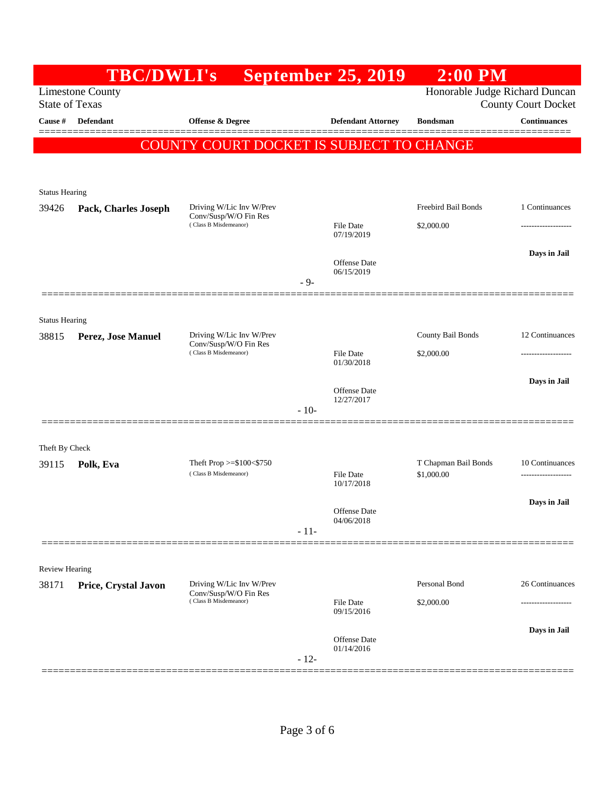|                                                  | <b>TBC/DWLI's</b>    |                                                      |        | <b>September 25, 2019</b>      | $2:00$ PM                                                    |                     |  |
|--------------------------------------------------|----------------------|------------------------------------------------------|--------|--------------------------------|--------------------------------------------------------------|---------------------|--|
| <b>Limestone County</b><br><b>State of Texas</b> |                      |                                                      |        |                                | Honorable Judge Richard Duncan<br><b>County Court Docket</b> |                     |  |
| Cause #                                          | <b>Defendant</b>     | <b>Offense &amp; Degree</b>                          |        | <b>Defendant Attorney</b>      | <b>Bondsman</b>                                              | <b>Continuances</b> |  |
|                                                  |                      | COUNTY COURT DOCKET IS SUBJECT TO CHANGE             |        |                                |                                                              | ______              |  |
|                                                  |                      |                                                      |        |                                |                                                              |                     |  |
| <b>Status Hearing</b>                            |                      |                                                      |        |                                |                                                              |                     |  |
| 39426                                            | Pack, Charles Joseph | Driving W/Lic Inv W/Prev<br>Conv/Susp/W/O Fin Res    |        |                                | Freebird Bail Bonds                                          | 1 Continuances      |  |
|                                                  |                      | (Class B Misdemeanor)                                |        | File Date<br>07/19/2019        | \$2,000.00                                                   |                     |  |
|                                                  |                      |                                                      |        |                                |                                                              | Days in Jail        |  |
|                                                  |                      |                                                      |        | Offense Date<br>06/15/2019     |                                                              |                     |  |
|                                                  |                      |                                                      | $-9-$  |                                |                                                              |                     |  |
| <b>Status Hearing</b>                            |                      |                                                      |        |                                |                                                              |                     |  |
| 38815                                            | Perez, Jose Manuel   | Driving W/Lic Inv W/Prev<br>Conv/Susp/W/O Fin Res    |        |                                | County Bail Bonds                                            | 12 Continuances     |  |
|                                                  |                      | (Class B Misdemeanor)                                |        | <b>File Date</b><br>01/30/2018 | \$2,000.00                                                   | ------------------  |  |
|                                                  |                      |                                                      |        |                                |                                                              | Days in Jail        |  |
|                                                  |                      |                                                      | $-10-$ | Offense Date<br>12/27/2017     |                                                              |                     |  |
|                                                  |                      |                                                      |        |                                |                                                              |                     |  |
| Theft By Check                                   |                      |                                                      |        |                                |                                                              |                     |  |
| 39115                                            | Polk, Eva            | Theft Prop $>= $100 < $750$<br>(Class B Misdemeanor) |        | File Date                      | T Chapman Bail Bonds<br>\$1,000.00                           | 10 Continuances     |  |
|                                                  |                      |                                                      |        | 10/17/2018                     |                                                              |                     |  |
|                                                  |                      |                                                      |        | Offense Date<br>04/06/2018     |                                                              | Days in Jail        |  |
|                                                  |                      |                                                      | $-11-$ |                                |                                                              |                     |  |
|                                                  |                      |                                                      |        |                                |                                                              |                     |  |
| <b>Review Hearing</b><br>38171                   | Price, Crystal Javon | Driving W/Lic Inv W/Prev                             |        |                                | Personal Bond                                                | 26 Continuances     |  |
|                                                  |                      | Conv/Susp/W/O Fin Res<br>(Class B Misdemeanor)       |        | <b>File Date</b>               | \$2,000.00                                                   | ------------        |  |
|                                                  |                      |                                                      |        | 09/15/2016                     |                                                              |                     |  |
|                                                  |                      |                                                      |        | Offense Date<br>01/14/2016     |                                                              | Days in Jail        |  |
|                                                  |                      |                                                      | $-12-$ |                                |                                                              |                     |  |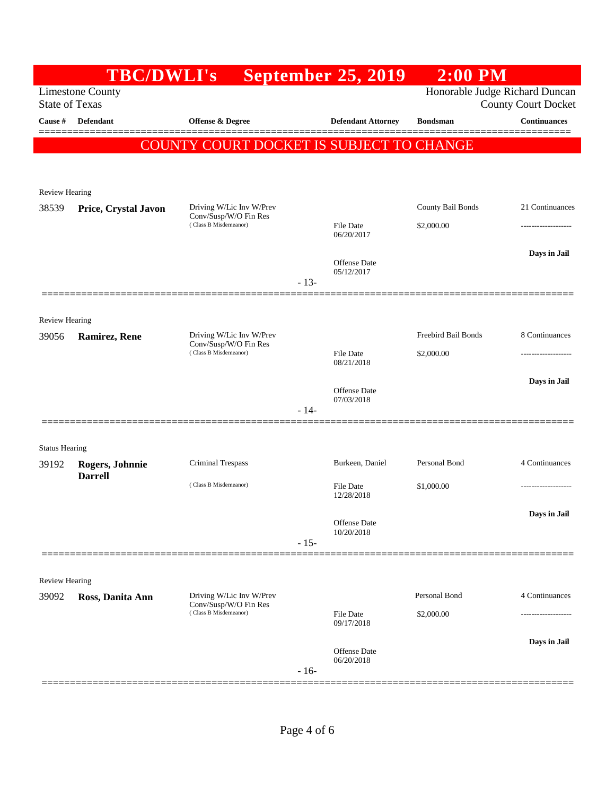|                                | <b>TBC/DWLI's</b>                                |                                                   |        | <b>September 25, 2019</b>         | $2:00$ PM                      |                            |
|--------------------------------|--------------------------------------------------|---------------------------------------------------|--------|-----------------------------------|--------------------------------|----------------------------|
|                                | <b>Limestone County</b><br><b>State of Texas</b> |                                                   |        |                                   | Honorable Judge Richard Duncan | <b>County Court Docket</b> |
| Cause #                        | <b>Defendant</b>                                 | <b>Offense &amp; Degree</b>                       |        | <b>Defendant Attorney</b>         | <b>Bondsman</b>                | <b>Continuances</b>        |
|                                |                                                  | COUNTY COURT DOCKET IS SUBJECT TO CHANGE          |        |                                   |                                |                            |
|                                |                                                  |                                                   |        |                                   |                                |                            |
| <b>Review Hearing</b>          |                                                  |                                                   |        |                                   |                                |                            |
| 38539                          | Price, Crystal Javon                             | Driving W/Lic Inv W/Prev                          |        |                                   | County Bail Bonds              | 21 Continuances            |
|                                |                                                  | Conv/Susp/W/O Fin Res<br>(Class B Misdemeanor)    |        | <b>File Date</b>                  | \$2,000.00                     |                            |
|                                |                                                  |                                                   |        | 06/20/2017                        |                                |                            |
|                                |                                                  |                                                   |        | Offense Date<br>05/12/2017        |                                | Days in Jail               |
|                                |                                                  |                                                   | $-13-$ |                                   |                                |                            |
|                                |                                                  |                                                   |        |                                   |                                |                            |
| <b>Review Hearing</b><br>39056 | <b>Ramirez, Rene</b>                             | Driving W/Lic Inv W/Prev                          |        |                                   | Freebird Bail Bonds            | 8 Continuances             |
|                                |                                                  | Conv/Susp/W/O Fin Res<br>(Class B Misdemeanor)    |        | File Date                         | \$2,000.00                     | -----------------          |
|                                |                                                  |                                                   |        | 08/21/2018                        |                                |                            |
|                                |                                                  |                                                   |        | <b>Offense</b> Date<br>07/03/2018 |                                | Days in Jail               |
|                                |                                                  |                                                   | $-14-$ |                                   |                                |                            |
|                                |                                                  |                                                   |        |                                   |                                |                            |
| <b>Status Hearing</b>          |                                                  | Criminal Trespass                                 |        | Burkeen, Daniel                   | Personal Bond                  | 4 Continuances             |
| 39192                          | Rogers, Johnnie<br><b>Darrell</b>                |                                                   |        |                                   |                                |                            |
|                                |                                                  | (Class B Misdemeanor)                             |        | <b>File Date</b><br>12/28/2018    | \$1,000.00                     |                            |
|                                |                                                  |                                                   |        | Offense Date                      |                                | Days in Jail               |
|                                |                                                  |                                                   | $-15-$ | 10/20/2018                        |                                |                            |
|                                |                                                  |                                                   |        |                                   |                                |                            |
| Review Hearing                 |                                                  |                                                   |        |                                   |                                |                            |
| 39092                          | Ross, Danita Ann                                 | Driving W/Lic Inv W/Prev<br>Conv/Susp/W/O Fin Res |        |                                   | Personal Bond                  | 4 Continuances             |
|                                |                                                  | (Class B Misdemeanor)                             |        | File Date<br>09/17/2018           | \$2,000.00                     |                            |
|                                |                                                  |                                                   |        |                                   |                                | Days in Jail               |
|                                |                                                  |                                                   |        | <b>Offense Date</b><br>06/20/2018 |                                |                            |
|                                |                                                  |                                                   | $-16-$ |                                   |                                |                            |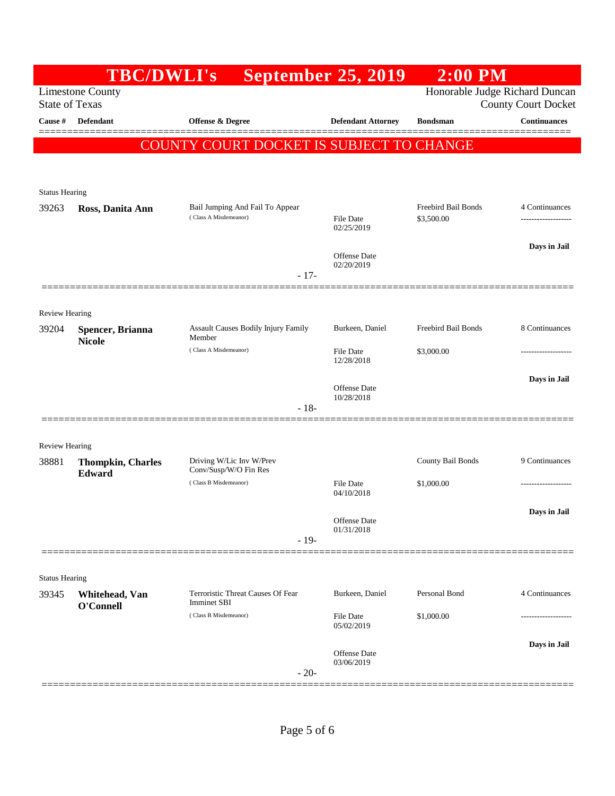|                                | <b>TBC/DWLI's</b>                                |                                                          | <b>September 25, 2019</b>         | $2:00$ PM                         |                                      |
|--------------------------------|--------------------------------------------------|----------------------------------------------------------|-----------------------------------|-----------------------------------|--------------------------------------|
|                                | <b>Limestone County</b><br><b>State of Texas</b> |                                                          |                                   | Honorable Judge Richard Duncan    | <b>County Court Docket</b>           |
| Cause #                        | <b>Defendant</b>                                 | <b>Offense &amp; Degree</b>                              | <b>Defendant Attorney</b>         | <b>Bondsman</b>                   | <b>Continuances</b><br>--------      |
|                                |                                                  | COUNTY COURT DOCKET IS SUBJECT TO CHANGE                 |                                   |                                   |                                      |
|                                |                                                  |                                                          |                                   |                                   |                                      |
| <b>Status Hearing</b>          |                                                  |                                                          |                                   |                                   |                                      |
| 39263                          | Ross, Danita Ann                                 | Bail Jumping And Fail To Appear<br>(Class A Misdemeanor) | <b>File Date</b>                  | Freebird Bail Bonds<br>\$3,500.00 | 4 Continuances<br>------------------ |
|                                |                                                  |                                                          | 02/25/2019                        |                                   |                                      |
|                                |                                                  |                                                          | Offense Date<br>02/20/2019        |                                   | Days in Jail                         |
|                                |                                                  | $-17-$                                                   |                                   |                                   |                                      |
|                                |                                                  |                                                          |                                   |                                   |                                      |
| <b>Review Hearing</b><br>39204 | Spencer, Brianna                                 | Assault Causes Bodily Injury Family                      | Burkeen, Daniel                   | Freebird Bail Bonds               | 8 Continuances                       |
|                                | <b>Nicole</b>                                    | Member<br>(Class A Misdemeanor)                          | <b>File Date</b>                  | \$3,000.00                        | ---------------                      |
|                                |                                                  |                                                          | 12/28/2018                        |                                   |                                      |
|                                |                                                  |                                                          | <b>Offense Date</b><br>10/28/2018 |                                   | Days in Jail                         |
|                                |                                                  | $-18-$                                                   |                                   |                                   |                                      |
|                                |                                                  |                                                          |                                   |                                   |                                      |
| <b>Review Hearing</b><br>38881 | <b>Thompkin, Charles</b>                         | Driving W/Lic Inv W/Prev                                 |                                   | County Bail Bonds                 | 9 Continuances                       |
|                                | Edward                                           | Conv/Susp/W/O Fin Res<br>(Class B Misdemeanor)           | <b>File Date</b>                  | \$1,000.00                        |                                      |
|                                |                                                  |                                                          | 04/10/2018                        |                                   |                                      |
|                                |                                                  |                                                          | Offense Date<br>01/31/2018        |                                   | Days in Jail                         |
|                                |                                                  | $-19-$                                                   |                                   |                                   |                                      |
| <b>Status Hearing</b>          |                                                  |                                                          |                                   |                                   |                                      |
| 39345                          | Whitehead, Van                                   | Terroristic Threat Causes Of Fear                        | Burkeen, Daniel                   | Personal Bond                     | 4 Continuances                       |
|                                | O'Connell                                        | <b>Imminet SBI</b><br>(Class B Misdemeanor)              | <b>File Date</b>                  | \$1,000.00                        |                                      |
|                                |                                                  |                                                          | 05/02/2019                        |                                   | Days in Jail                         |
|                                |                                                  |                                                          | <b>Offense Date</b><br>03/06/2019 |                                   |                                      |
|                                |                                                  | $-20-$                                                   |                                   |                                   |                                      |